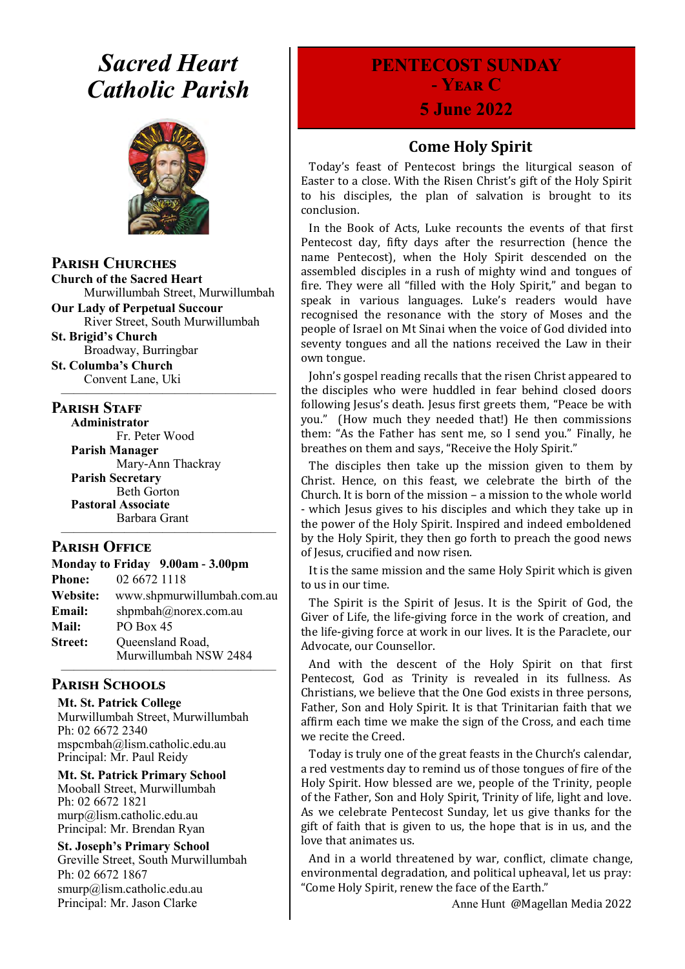# *Sacred Heart Catholic Parish*



**Parish Churches**

**Church of the Sacred Heart** Murwillumbah Street, Murwillumbah

**Our Lady of Perpetual Succour** River Street, South Murwillumbah

**St. Brigid's Church** Broadway, Burringbar

**St. Columba's Church** Convent Lane, Uki —————————————————

#### **PARISH STAFF**

**Administrator** Fr. Peter Wood **Parish Manager** Mary-Ann Thackray **Parish Secretary** Beth Gorton **Pastoral Associate**

Barbara Grant —————————————————

## **Parish Office**

**Monday to Friday 9.00am - 3.00pm Phone:** 02 6672 1118 **Website:** www.shpmurwillumbah.com.au **Email:** shpmbah@norex.com.au **Mail:** PO Box 45 **Street:** Oueensland Road, Murwillumbah NSW 2484 —————————————————

# **Parish Schools**

**Mt. St. Patrick College** Murwillumbah Street, Murwillumbah Ph: 02 6672 2340 mspcmbah@lism.catholic.edu.au Principal: Mr. Paul Reidy

**Mt. St. Patrick Primary School** Mooball Street, Murwillumbah Ph: 02 6672 1821 murp@lism.catholic.edu.au Principal: Mr. Brendan Ryan

**St. Joseph's Primary School** Greville Street, South Murwillumbah Ph: 02 6672 1867 smurp@lism.catholic.edu.au Principal: Mr. Jason Clarke

# **PENTECOST SUNDAY - Year C**

# **5 June 2022**

# **Come Holy Spirit**

Today's feast of Pentecost brings the liturgical season of Easter to a close. With the Risen Christ's gift of the Holy Spirit to his disciples, the plan of salvation is brought to its conclusion.

In the Book of Acts, Luke recounts the events of that first Pentecost day, fifty days after the resurrection (hence the name Pentecost), when the Holy Spirit descended on the assembled disciples in a rush of mighty wind and tongues of fire. They were all "filled with the Holy Spirit," and began to speak in various languages. Luke's readers would have recognised the resonance with the story of Moses and the people of Israel on Mt Sinai when the voice of God divided into seventy tongues and all the nations received the Law in their own tongue.

John's gospel reading recalls that the risen Christ appeared to the disciples who were huddled in fear behind closed doors following Jesus's death. Jesus first greets them, "Peace be with you." (How much they needed that!) He then commissions them: "As the Father has sent me, so I send you." Finally, he breathes on them and says, "Receive the Holy Spirit."

The disciples then take up the mission given to them by Christ. Hence, on this feast, we celebrate the birth of the Church. It is born of the mission – a mission to the whole world - which Jesus gives to his disciples and which they take up in the power of the Holy Spirit. Inspired and indeed emboldened by the Holy Spirit, they then go forth to preach the good news of Jesus, crucified and now risen.

It is the same mission and the same Holy Spirit which is given to us in our time.

The Spirit is the Spirit of Jesus. It is the Spirit of God, the Giver of Life, the life-giving force in the work of creation, and the life-giving force at work in our lives. It is the Paraclete, our Advocate, our Counsellor.

And with the descent of the Holy Spirit on that first Pentecost, God as Trinity is revealed in its fullness. As Christians, we believe that the One God exists in three persons, Father, Son and Holy Spirit. It is that Trinitarian faith that we affirm each time we make the sign of the Cross, and each time we recite the Creed.

Today is truly one of the great feasts in the Church's calendar, a red vestments day to remind us of those tongues of fire of the Holy Spirit. How blessed are we, people of the Trinity, people of the Father, Son and Holy Spirit, Trinity of life, light and love. As we celebrate Pentecost Sunday, let us give thanks for the gift of faith that is given to us, the hope that is in us, and the love that animates us.

And in a world threatened by war, conflict, climate change, environmental degradation, and political upheaval, let us pray: "Come Holy Spirit, renew the face of the Earth."

Anne Hunt @Magellan Media 2022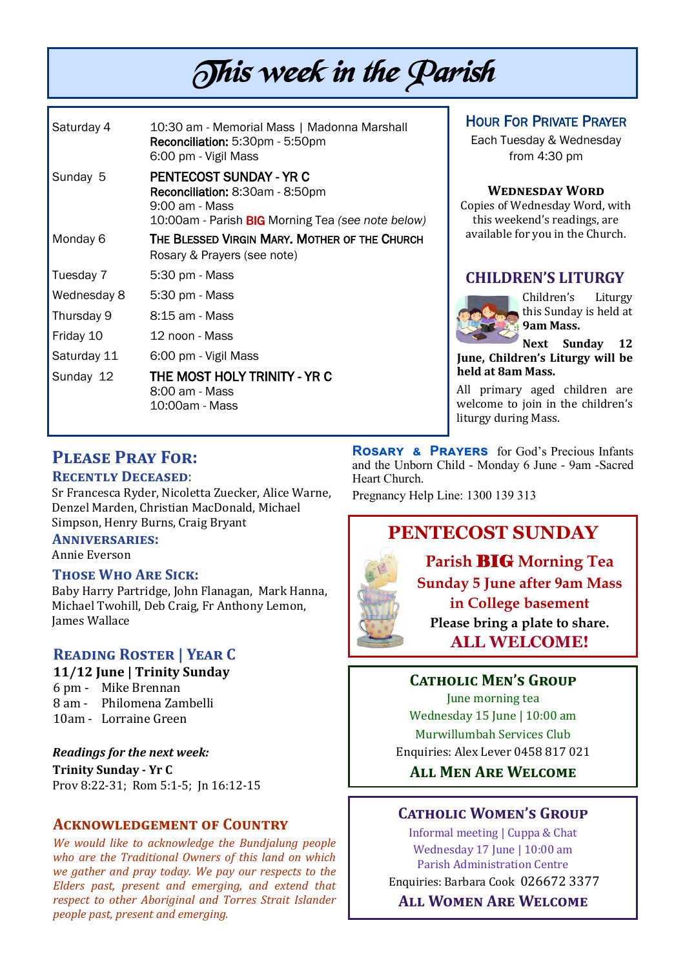# This week in the Parish

| Saturday 4  | 10:30 am - Memorial Mass   Madonna Marshall<br>Reconciliation: 5:30pm - 5:50pm<br>6:00 pm - Vigil Mass                                   |
|-------------|------------------------------------------------------------------------------------------------------------------------------------------|
| Sunday 5    | PENTECOST SUNDAY - YR C<br><b>Reconciliation: 8:30am - 8:50pm</b><br>9:00 am - Mass<br>10:00am - Parish BIG Morning Tea (see note below) |
| Monday 6    | THE BLESSED VIRGIN MARY. MOTHER OF THE CHURCH<br>Rosary & Prayers (see note)                                                             |
| Tuesday 7   | 5:30 pm - Mass                                                                                                                           |
| Wednesday 8 | 5:30 pm - Mass                                                                                                                           |
| Thursday 9  | 8:15 am - Mass                                                                                                                           |
| Friday 10   | 12 noon - Mass                                                                                                                           |
| Saturday 11 | 6:00 pm - Vigil Mass                                                                                                                     |
| Sunday 12   | THE MOST HOLY TRINITY - YR C<br>8:00 am - Mass<br>10:00am - Mass                                                                         |

# HOUR FOR PRIVATE PRAYER

Each Tuesday & Wednesday from 4:30 pm

#### **Wednesday Word**

Copies of Wednesday Word, with this weekend's readings, are available for you in the Church.

# **CHILDREN'S LITURGY**



Children's Liturgy this Sunday is held at **9am Mass.** 

**Next Sunday 12 June, Children's Liturgy will be held at 8am Mass.** 

All primary aged children are welcome to join in the children's liturgy during Mass.

# **Please Pray For:**

### **Recently Deceased**:

Sr Francesca Ryder, Nicoletta Zuecker, Alice Warne, Denzel Marden, Christian MacDonald, Michael Simpson, Henry Burns, Craig Bryant

#### **Anniversaries:**

Annie Everson

### **Those Who Are Sick:**

Baby Harry Partridge, John Flanagan, Mark Hanna, Michael Twohill, Deb Craig, Fr Anthony Lemon, James Wallace

# **Reading Roster | Year C**

#### **11/12 June | Trinity Sunday**

6 pm - Mike Brennan

- 8 am Philomena Zambelli
- 10am Lorraine Green

*Readings for the next week:*  **Trinity Sunday - Yr C**  Prov 8:22-31; Rom 5:1-5; Jn 16:12-15

# **Acknowledgement of Country**

*We would like to acknowledge the Bundjalung people who are the Traditional Owners of this land on which we gather and pray today. We pay our respects to the Elders past, present and emerging, and extend that respect to other Aboriginal and Torres Strait Islander people past, present and emerging.* 

**Rosary & Prayers** for God's Precious Infants and the Unborn Child - Monday 6 June - 9am -Sacred Heart Church.

Pregnancy Help Line: 1300 139 313

# **PENTECOST SUNDAY**

**Parish** BIG **Morning Tea Sunday 5 June after 9am Mass in College basement Please bring a plate to share. ALL WELCOME!**

**Catholic Men's Group**

June morning tea Wednesday 15 June | 10:00 am Murwillumbah Services Club Enquiries: Alex Lever 0458 817 021

**All Men Are Welcome**

# **Catholic Women's Group**

Informal meeting | Cuppa & Chat Wednesday 17 June | 10:00 am Parish Administration Centre Enquiries: Barbara Cook 026672 3377 **All Women Are Welcome**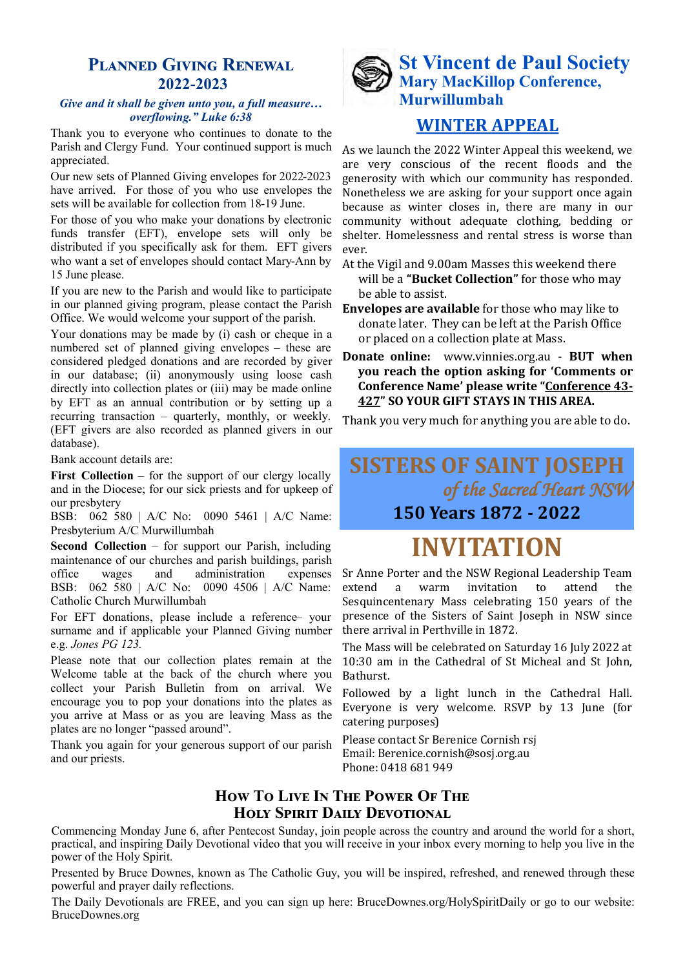# **Planned Giving Renewal 2022-2023**

#### *Give and it shall be given unto you, a full measure… overflowing." Luke 6:38*

Thank you to everyone who continues to donate to the Parish and Clergy Fund. Your continued support is much appreciated.

Our new sets of Planned Giving envelopes for 2022-2023 have arrived. For those of you who use envelopes the sets will be available for collection from 18-19 June.

For those of you who make your donations by electronic funds transfer (EFT), envelope sets will only be distributed if you specifically ask for them. EFT givers who want a set of envelopes should contact Mary-Ann by 15 June please.

If you are new to the Parish and would like to participate in our planned giving program, please contact the Parish Office. We would welcome your support of the parish.

Your donations may be made by (i) cash or cheque in a numbered set of planned giving envelopes – these are considered pledged donations and are recorded by giver in our database; (ii) anonymously using loose cash directly into collection plates or (iii) may be made online by EFT as an annual contribution or by setting up a recurring transaction – quarterly, monthly, or weekly. (EFT givers are also recorded as planned givers in our database).

Bank account details are:

First Collection – for the support of our clergy locally and in the Diocese; for our sick priests and for upkeep of our presbytery

BSB: 062 580 | A/C No: 0090 5461 | A/C Name: Presbyterium A/C Murwillumbah

**Second Collection** – for support our Parish, including maintenance of our churches and parish buildings, parish office wages and administration expenses BSB: 062 580 | A/C No: 0090 4506 | A/C Name: Catholic Church Murwillumbah

For EFT donations, please include a reference– your surname and if applicable your Planned Giving number e.g. *Jones PG 123.*

Please note that our collection plates remain at the Welcome table at the back of the church where you collect your Parish Bulletin from on arrival. We encourage you to pop your donations into the plates as you arrive at Mass or as you are leaving Mass as the plates are no longer "passed around".

Thank you again for your generous support of our parish and our priests.

# **St Vincent de Paul Society Mary MacKillop Conference, Murwillumbah**

# **WINTER APPEAL**

As we launch the 2022 Winter Appeal this weekend, we are very conscious of the recent floods and the generosity with which our community has responded. Nonetheless we are asking for your support once again because as winter closes in, there are many in our community without adequate clothing, bedding or shelter. Homelessness and rental stress is worse than ever.

- At the Vigil and 9.00am Masses this weekend there will be a **"Bucket Collection"** for those who may be able to assist.
- **Envelopes are available** for those who may like to donate later. They can be left at the Parish Office or placed on a collection plate at Mass.
- **Donate online:** [www.vinnies.org.au](http://www.vinnies.org.au) **BUT when you reach the option asking for 'Comments or Conference Name' please write "Conference 43- 427" SO YOUR GIFT STAYS IN THIS AREA.**

Thank you very much for anything you are able to do.

# **SISTERS OF SAINT JOSEPH** *of the Sacred Heart NSW*  **150 Years 1872 - 2022**

# **INVITATION**

Sr Anne Porter and the NSW Regional Leadership Team extend a warm invitation to attend the Sesquincentenary Mass celebrating 150 years of the presence of the Sisters of Saint Joseph in NSW since there arrival in Perthville in 1872.

The Mass will be celebrated on Saturday 16 July 2022 at 10:30 am in the Cathedral of St Micheal and St John, Bathurst.

Followed by a light lunch in the Cathedral Hall. Everyone is very welcome. RSVP by 13 June (for catering purposes)

Please contact Sr Berenice Cornish rsj Email: Berenice.cornish@sosj.org.au Phone: 0418 681 949

# **How To Live In The Power Of The Holy Spirit Daily Devotional**

Commencing Monday June 6, after Pentecost Sunday, join people across the country and around the world for a short, practical, and inspiring Daily Devotional video that you will receive in your inbox every morning to help you live in the power of the Holy Spirit.

Presented by Bruce Downes, known as The Catholic Guy, you will be inspired, refreshed, and renewed through these powerful and prayer daily reflections.

The Daily Devotionals are FREE, and you can sign up here: BruceDownes.org/HolySpiritDaily or go to our website: BruceDownes.org